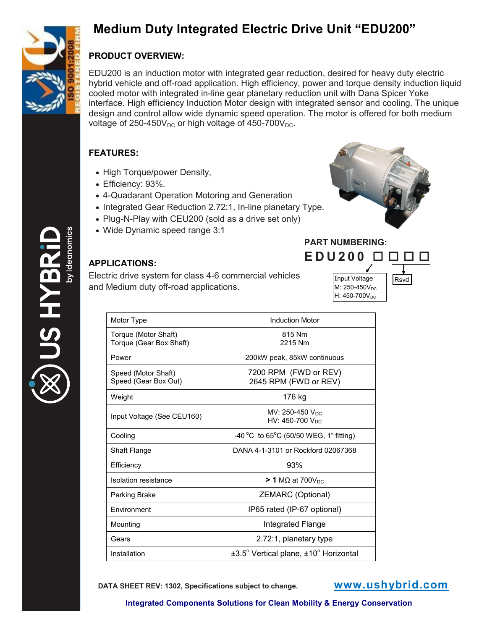

## **Medium Duty Integrated Electric Drive Unit "EDU200"**

## **PRODUCT OVERVIEW:**

EDU200 is an induction motor with integrated gear reduction, desired for heavy duty electric hybrid vehicle and off-road application. High efficiency, power and torque density induction liquid cooled motor with integrated in-line gear planetary reduction unit with Dana Spicer Yoke interface. High efficiency Induction Motor design with integrated sensor and cooling. The unique design and control allow wide dynamic speed operation. The motor is offered for both medium voltage of  $250-450V_{DC}$  or high voltage of  $450-700V_{DC}$ .

## **FEATURES:**

- High Torque/power Density,
- Efficiency: 93%.
- 4-Quadarant Operation Motoring and Generation
- Integrated Gear Reduction 2.72:1, In-line planetary Type.
- Plug-N-Play with CEU200 (sold as a drive set only)
- Wide Dynamic speed range 3:1



Input Voltage | Rsvd

 $M: 250 - 450V_{DC}$ H: 450-700V<sub>DC</sub>

**PART NUMBERING: EDU 200**

## **APPLICATIONS:**

Electric drive system for class 4-6 commercial vehicles and Medium duty off-road applications.

| Motor Type                                      | <b>Induction Motor</b>                                    |
|-------------------------------------------------|-----------------------------------------------------------|
| Torque (Motor Shaft)<br>Torque (Gear Box Shaft) | 815 Nm<br>2215 Nm                                         |
| Power                                           | 200kW peak, 85kW continuous                               |
| Speed (Motor Shaft)<br>Speed (Gear Box Out)     | 7200 RPM (FWD or REV)<br>2645 RPM (FWD or REV)            |
| Weight                                          | 176 kg                                                    |
| Input Voltage (See CEU160)                      | MV: 250-450 $V_{DC}$<br>HV: 450-700 V <sub>DC</sub>       |
| Cooling                                         | -40 °C to 65°C (50/50 WEG, 1" fitting)                    |
| Shaft Flange                                    | DANA 4-1-3101 or Rockford 02067368                        |
| Efficiency                                      | 93%                                                       |
| <b>Isolation resistance</b>                     | $>$ 1 MΩ at 700V <sub>DC</sub>                            |
| Parking Brake                                   | ZEMARC (Optional)                                         |
| Environment                                     | IP65 rated (IP-67 optional)                               |
| Mounting                                        | Integrated Flange                                         |
| Gears                                           | 2.72:1, planetary type                                    |
| Installation                                    | $\pm 3.5^\circ$ Vertical plane, $\pm 10^\circ$ Horizontal |

**DATA SHEET REV: 1302, Specifications subject to change. www.ushybrid.com**

US HYBF

**Integrated Components Solutions for Clean Mobility & Energy Conservation**